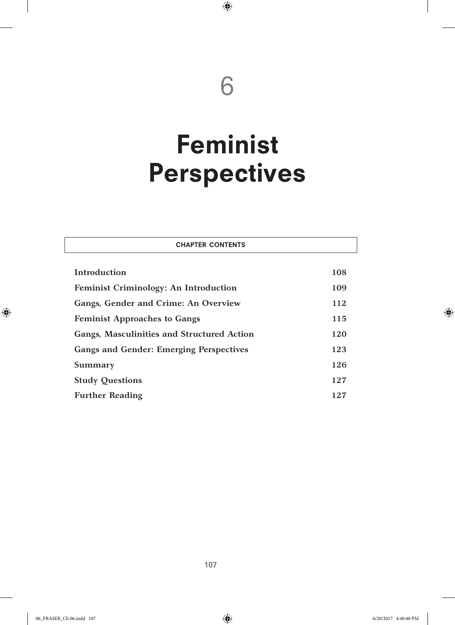# 6

 $\bigoplus$ 

# Feminist Perspectives

| <b>CHAPTER CONTENTS</b>                           |     |
|---------------------------------------------------|-----|
| Introduction                                      | 108 |
| <b>Feminist Criminology: An Introduction</b>      | 109 |
| Gangs, Gender and Crime: An Overview              | 112 |
| <b>Feminist Approaches to Gangs</b>               | 115 |
| <b>Gangs, Masculinities and Structured Action</b> | 120 |
| <b>Gangs and Gender: Emerging Perspectives</b>    | 123 |
| Summary                                           | 126 |
| <b>Study Questions</b>                            | 127 |
| <b>Further Reading</b>                            | 127 |

 $\bigoplus$ 

 $\bigoplus$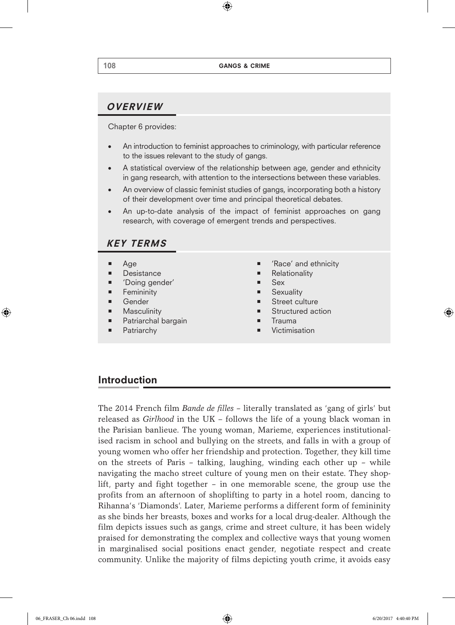$\bigoplus$ 

# OVERVIEW

Chapter 6 provides:

- An introduction to feminist approaches to criminology, with particular reference to the issues relevant to the study of gangs.
- A statistical overview of the relationship between age, gender and ethnicity in gang research, with attention to the intersections between these variables.
- An overview of classic feminist studies of gangs, incorporating both a history of their development over time and principal theoretical debates.
- An up-to-date analysis of the impact of feminist approaches on gang research, with coverage of emergent trends and perspectives.

## KEY TERMS

- $Aq$ ae
- **Desistance**
- 'Doing gender'
- Femininity
- Gender
- **Masculinity**
- Patriarchal bargain
- Patriarchy
- 'Race' and ethnicity
- **Relationality**
- Sex
- Sexuality
- Street culture
- Structured action
- Trauma
- Victimisation

## Introduction

The 2014 French film *Bande de filles* – literally translated as 'gang of girls' but released as *Girlhood* in the UK *–* follows the life of a young black woman in the Parisian banlieue. The young woman, Marieme, experiences institutionalised racism in school and bullying on the streets, and falls in with a group of young women who offer her friendship and protection. Together, they kill time on the streets of Paris – talking, laughing, winding each other up – while navigating the macho street culture of young men on their estate. They shoplift, party and fight together – in one memorable scene, the group use the profits from an afternoon of shoplifting to party in a hotel room, dancing to Rihanna's 'Diamonds'. Later, Marieme performs a different form of femininity as she binds her breasts, boxes and works for a local drug-dealer. Although the film depicts issues such as gangs, crime and street culture, it has been widely praised for demonstrating the complex and collective ways that young women in marginalised social positions enact gender, negotiate respect and create community. Unlike the majority of films depicting youth crime, it avoids easy

♠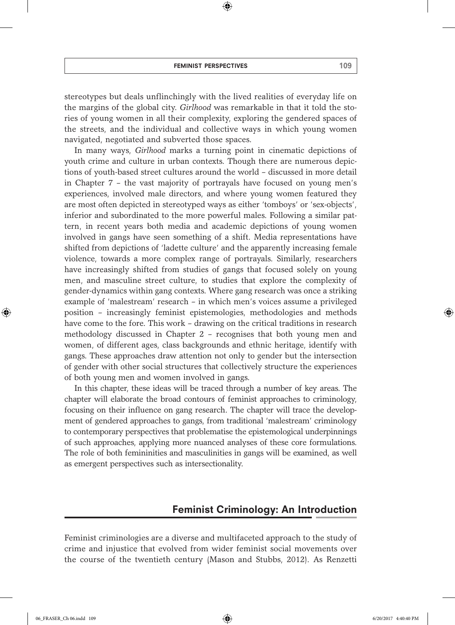⊕

stereotypes but deals unflinchingly with the lived realities of everyday life on the margins of the global city. *Girlhood* was remarkable in that it told the stories of young women in all their complexity, exploring the gendered spaces of the streets, and the individual and collective ways in which young women navigated, negotiated and subverted those spaces.

In many ways, *Girlhood* marks a turning point in cinematic depictions of youth crime and culture in urban contexts. Though there are numerous depictions of youth-based street cultures around the world – discussed in more detail in Chapter 7 – the vast majority of portrayals have focused on young men's experiences, involved male directors, and where young women featured they are most often depicted in stereotyped ways as either 'tomboys' or 'sex-objects', inferior and subordinated to the more powerful males. Following a similar pattern, in recent years both media and academic depictions of young women involved in gangs have seen something of a shift. Media representations have shifted from depictions of 'ladette culture' and the apparently increasing female violence, towards a more complex range of portrayals. Similarly, researchers have increasingly shifted from studies of gangs that focused solely on young men, and masculine street culture, to studies that explore the complexity of gender-dynamics within gang contexts. Where gang research was once a striking example of 'malestream' research – in which men's voices assume a privileged position – increasingly feminist epistemologies, methodologies and methods have come to the fore. This work – drawing on the critical traditions in research methodology discussed in Chapter 2 – recognises that both young men and women, of different ages, class backgrounds and ethnic heritage, identify with gangs. These approaches draw attention not only to gender but the intersection of gender with other social structures that collectively structure the experiences of both young men and women involved in gangs.

In this chapter, these ideas will be traced through a number of key areas. The chapter will elaborate the broad contours of feminist approaches to criminology, focusing on their influence on gang research. The chapter will trace the development of gendered approaches to gangs, from traditional 'malestream' criminology to contemporary perspectives that problematise the epistemological underpinnings of such approaches, applying more nuanced analyses of these core formulations. The role of both femininities and masculinities in gangs will be examined, as well as emergent perspectives such as intersectionality.

# Feminist Criminology: An Introduction

Feminist criminologies are a diverse and multifaceted approach to the study of crime and injustice that evolved from wider feminist social movements over the course of the twentieth century (Mason and Stubbs, 2012). As Renzetti

♠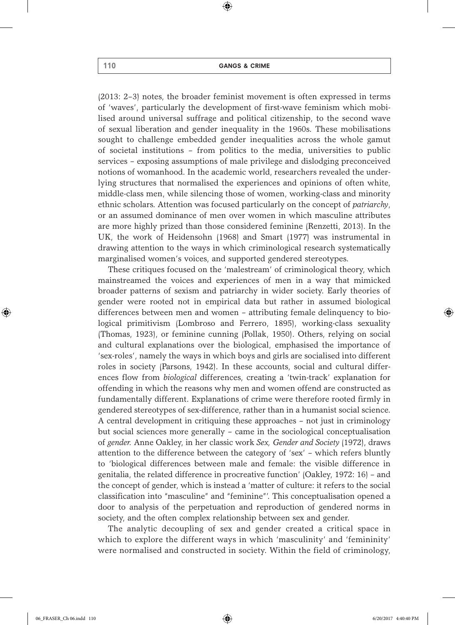⊕

(2013: 2–3) notes, the broader feminist movement is often expressed in terms of 'waves', particularly the development of first-wave feminism which mobilised around universal suffrage and political citizenship, to the second wave of sexual liberation and gender inequality in the 1960s. These mobilisations sought to challenge embedded gender inequalities across the whole gamut of societal institutions – from politics to the media, universities to public services – exposing assumptions of male privilege and dislodging preconceived notions of womanhood. In the academic world, researchers revealed the underlying structures that normalised the experiences and opinions of often white, middle-class men, while silencing those of women, working-class and minority ethnic scholars. Attention was focused particularly on the concept of *patriarchy*, or an assumed dominance of men over women in which masculine attributes are more highly prized than those considered feminine (Renzetti, 2013). In the UK, the work of Heidensohn (1968) and Smart (1977) was instrumental in drawing attention to the ways in which criminological research systematically marginalised women's voices, and supported gendered stereotypes.

These critiques focused on the 'malestream' of criminological theory, which mainstreamed the voices and experiences of men in a way that mimicked broader patterns of sexism and patriarchy in wider society. Early theories of gender were rooted not in empirical data but rather in assumed biological differences between men and women – attributing female delinquency to biological primitivism (Lombroso and Ferrero, 1895), working-class sexuality (Thomas, 1923), or feminine cunning (Pollak, 1950). Others, relying on social and cultural explanations over the biological, emphasised the importance of 'sex-roles', namely the ways in which boys and girls are socialised into different roles in society (Parsons, 1942). In these accounts, social and cultural differences flow from *biological* differences, creating a 'twin-track' explanation for offending in which the reasons why men and women offend are constructed as fundamentally different. Explanations of crime were therefore rooted firmly in gendered stereotypes of sex-difference, rather than in a humanist social science. A central development in critiquing these approaches – not just in criminology but social sciences more generally – came in the sociological conceptualisation of *gender.* Anne Oakley, in her classic work *Sex, Gender and Society* (1972), draws attention to the difference between the category of 'sex' – which refers bluntly to 'biological differences between male and female: the visible difference in genitalia, the related difference in procreative function' (Oakley, 1972: 16) – and the concept of gender, which is instead a 'matter of culture: it refers to the social classification into "masculine" and "feminine"'. This conceptualisation opened a door to analysis of the perpetuation and reproduction of gendered norms in society, and the often complex relationship between sex and gender.

The analytic decoupling of sex and gender created a critical space in which to explore the different ways in which 'masculinity' and 'femininity' were normalised and constructed in society. Within the field of criminology,

♠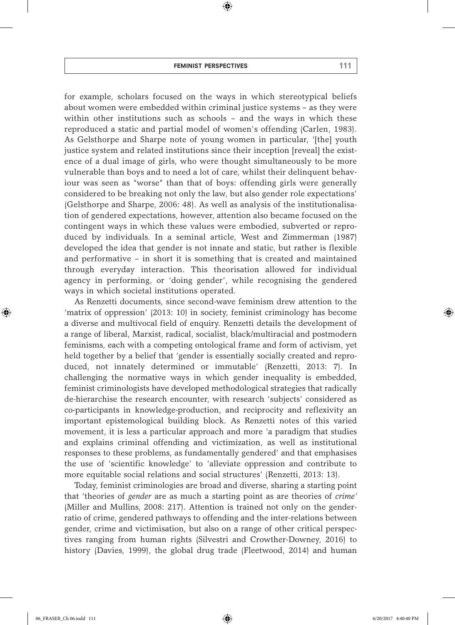#### feminist perspectives 111

⊕

for example, scholars focused on the ways in which stereotypical beliefs about women were embedded within criminal justice systems – as they were within other institutions such as schools – and the ways in which these reproduced a static and partial model of women's offending (Carlen, 1983). As Gelsthorpe and Sharpe note of young women in particular, '[the] youth justice system and related institutions since their inception [reveal] the existence of a dual image of girls, who were thought simultaneously to be more vulnerable than boys and to need a lot of care, whilst their delinquent behaviour was seen as "worse" than that of boys: offending girls were generally considered to be breaking not only the law, but also gender role expectations' (Gelsthorpe and Sharpe, 2006: 48). As well as analysis of the institutionalisation of gendered expectations, however, attention also became focused on the contingent ways in which these values were embodied, subverted or reproduced by individuals. In a seminal article, West and Zimmerman (1987) developed the idea that gender is not innate and static, but rather is flexible and performative – in short it is something that is created and maintained through everyday interaction. This theorisation allowed for individual agency in performing, or 'doing gender', while recognising the gendered ways in which societal institutions operated.

As Renzetti documents, since second-wave feminism drew attention to the 'matrix of oppression' (2013: 10) in society, feminist criminology has become a diverse and multivocal field of enquiry. Renzetti details the development of a range of liberal, Marxist, radical, socialist, black/multiracial and postmodern feminisms, each with a competing ontological frame and form of activism, yet held together by a belief that 'gender is essentially socially created and reproduced, not innately determined or immutable' (Renzetti, 2013: 7). In challenging the normative ways in which gender inequality is embedded, feminist criminologists have developed methodological strategies that radically de-hierarchise the research encounter, with research 'subjects' considered as co-participants in knowledge-production, and reciprocity and reflexivity an important epistemological building block. As Renzetti notes of this varied movement, it is less a particular approach and more 'a paradigm that studies and explains criminal offending and victimization, as well as institutional responses to these problems, as fundamentally gendered' and that emphasises the use of 'scientific knowledge' to 'alleviate oppression and contribute to more equitable social relations and social structures' (Renzetti, 2013: 13).

Today, feminist criminologies are broad and diverse, sharing a starting point that 'theories of *gender* are as much a starting point as are theories of *crime'*  (Miller and Mullins, 2008: 217). Attention is trained not only on the genderratio of crime, gendered pathways to offending and the inter-relations between gender, crime and victimisation, but also on a range of other critical perspectives ranging from human rights (Silvestri and Crowther-Downey, 2016) to history (Davies, 1999), the global drug trade (Fleetwood, 2014) and human

♠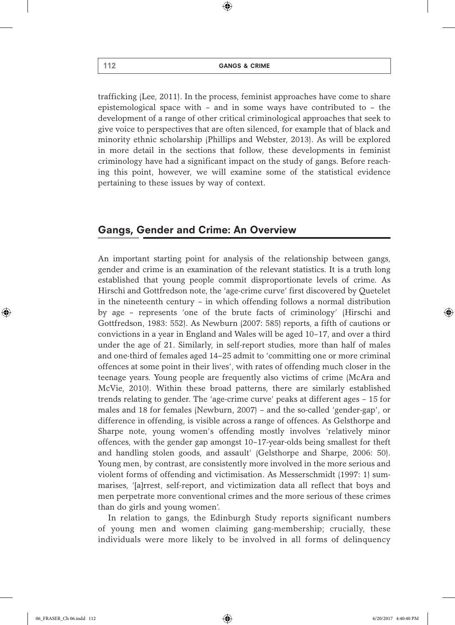$\textcircled{\scriptsize{*}}$ 

trafficking (Lee, 2011). In the process, feminist approaches have come to share epistemological space with – and in some ways have contributed to – the development of a range of other critical criminological approaches that seek to give voice to perspectives that are often silenced, for example that of black and minority ethnic scholarship (Phillips and Webster, 2013). As will be explored in more detail in the sections that follow, these developments in feminist criminology have had a significant impact on the study of gangs. Before reaching this point, however, we will examine some of the statistical evidence pertaining to these issues by way of context.

# Gangs, Gender and Crime: An Overview

An important starting point for analysis of the relationship between gangs, gender and crime is an examination of the relevant statistics. It is a truth long established that young people commit disproportionate levels of crime. As Hirschi and Gottfredson note, the 'age-crime curve' first discovered by Quetelet in the nineteenth century – in which offending follows a normal distribution by age – represents 'one of the brute facts of criminology' (Hirschi and Gottfredson, 1983: 552). As Newburn (2007: 585) reports, a fifth of cautions or convictions in a year in England and Wales will be aged 10–17, and over a third under the age of 21. Similarly, in self-report studies, more than half of males and one-third of females aged 14–25 admit to 'committing one or more criminal offences at some point in their lives', with rates of offending much closer in the teenage years. Young people are frequently also victims of crime (McAra and McVie, 2010). Within these broad patterns, there are similarly established trends relating to gender. The 'age-crime curve' peaks at different ages – 15 for males and 18 for females (Newburn, 2007) – and the so-called 'gender-gap', or difference in offending, is visible across a range of offences. As Gelsthorpe and Sharpe note, young women's offending mostly involves 'relatively minor offences, with the gender gap amongst 10–17-year-olds being smallest for theft and handling stolen goods, and assault' (Gelsthorpe and Sharpe, 2006: 50). Young men, by contrast, are consistently more involved in the more serious and violent forms of offending and victimisation. As Messerschmidt (1997: 1) summarises, '[a]rrest, self-report, and victimization data all reflect that boys and men perpetrate more conventional crimes and the more serious of these crimes than do girls and young women'.

In relation to gangs, the Edinburgh Study reports significant numbers of young men and women claiming gang-membership; crucially, these individuals were more likely to be involved in all forms of delinquency

♠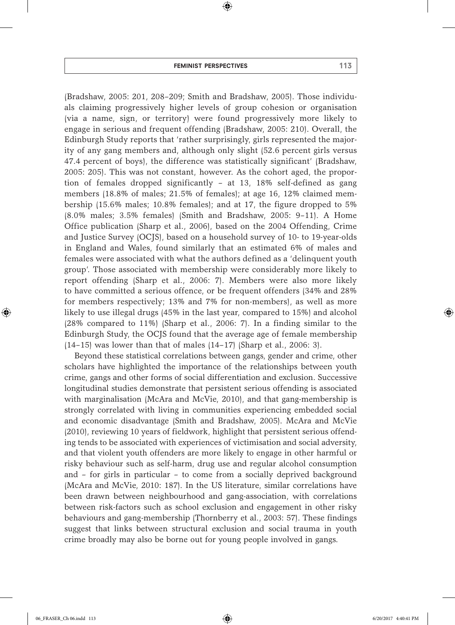⊕

(Bradshaw, 2005: 201, 208–209; Smith and Bradshaw, 2005). Those individuals claiming progressively higher levels of group cohesion or organisation (via a name, sign, or territory) were found progressively more likely to engage in serious and frequent offending (Bradshaw, 2005: 210). Overall, the Edinburgh Study reports that 'rather surprisingly, girls represented the majority of any gang members and, although only slight (52.6 percent girls versus 47.4 percent of boys), the difference was statistically significant' (Bradshaw, 2005: 205). This was not constant, however. As the cohort aged, the proportion of females dropped significantly – at 13, 18% self-defined as gang members (18.8% of males; 21.5% of females); at age 16, 12% claimed membership (15.6% males; 10.8% females); and at 17, the figure dropped to 5% (8.0% males; 3.5% females) (Smith and Bradshaw, 2005: 9–11). A Home Office publication (Sharp et al., 2006), based on the 2004 Offending, Crime and Justice Survey (OCJS), based on a household survey of 10- to 19-year-olds in England and Wales, found similarly that an estimated 6% of males and females were associated with what the authors defined as a 'delinquent youth group'. Those associated with membership were considerably more likely to report offending (Sharp et al., 2006: 7). Members were also more likely to have committed a serious offence, or be frequent offenders (34% and 28% for members respectively; 13% and 7% for non-members), as well as more likely to use illegal drugs (45% in the last year, compared to 15%) and alcohol (28% compared to 11%) (Sharp et al., 2006: 7). In a finding similar to the Edinburgh Study, the OCJS found that the average age of female membership (14–15) was lower than that of males (14–17) (Sharp et al., 2006: 3).

Beyond these statistical correlations between gangs, gender and crime, other scholars have highlighted the importance of the relationships between youth crime, gangs and other forms of social differentiation and exclusion. Successive longitudinal studies demonstrate that persistent serious offending is associated with marginalisation (McAra and McVie, 2010), and that gang-membership is strongly correlated with living in communities experiencing embedded social and economic disadvantage (Smith and Bradshaw, 2005). McAra and McVie (2010), reviewing 10 years of fieldwork, highlight that persistent serious offending tends to be associated with experiences of victimisation and social adversity, and that violent youth offenders are more likely to engage in other harmful or risky behaviour such as self-harm, drug use and regular alcohol consumption and – for girls in particular – to come from a socially deprived background (McAra and McVie, 2010: 187). In the US literature, similar correlations have been drawn between neighbourhood and gang-association, with correlations between risk-factors such as school exclusion and engagement in other risky behaviours and gang-membership (Thornberry et al., 2003: 57). These findings suggest that links between structural exclusion and social trauma in youth crime broadly may also be borne out for young people involved in gangs.

⊕

♠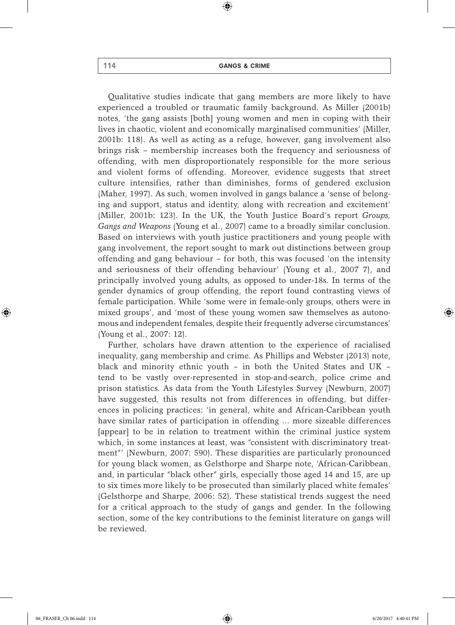$\textcircled{\scriptsize{*}}$ 

Qualitative studies indicate that gang members are more likely to have experienced a troubled or traumatic family background. As Miller (2001b) notes, 'the gang assists [both] young women and men in coping with their lives in chaotic, violent and economically marginalised communities' (Miller, 2001b: 118). As well as acting as a refuge, however, gang involvement also brings risk – membership increases both the frequency and seriousness of offending, with men disproportionately responsible for the more serious and violent forms of offending. Moreover, evidence suggests that street culture intensifies, rather than diminishes, forms of gendered exclusion (Maher, 1997). As such, women involved in gangs balance a 'sense of belonging and support, status and identity, along with recreation and excitement' (Miller, 2001b: 123). In the UK, the Youth Justice Board's report *Groups, Gangs and Weapons* (Young et al., 2007) came to a broadly similar conclusion. Based on interviews with youth justice practitioners and young people with gang involvement, the report sought to mark out distinctions between group offending and gang behaviour – for both, this was focused 'on the intensity and seriousness of their offending behaviour' (Young et al., 2007 7), and principally involved young adults, as opposed to under-18s. In terms of the gender dynamics of group offending, the report found contrasting views of female participation. While 'some were in female-only groups, others were in mixed groups', and 'most of these young women saw themselves as autonomous and independent females, despite their frequently adverse circumstances' (Young et al., 2007: 12).

Further, scholars have drawn attention to the experience of racialised inequality, gang membership and crime. As Phillips and Webster (2013) note, black and minority ethnic youth – in both the United States and UK – tend to be vastly over-represented in stop-and-search, police crime and prison statistics. As data from the Youth Lifestyles Survey (Newburn, 2007) have suggested, this results not from differences in offending, but differences in policing practices: 'in general, white and African-Caribbean youth have similar rates of participation in offending … more sizeable differences [appear] to be in relation to treatment within the criminal justice system which, in some instances at least, was "consistent with discriminatory treatment"' (Newburn, 2007: 590). These disparities are particularly pronounced for young black women, as Gelsthorpe and Sharpe note, 'African-Caribbean, and, in particular "black other" girls, especially those aged 14 and 15, are up to six times more likely to be prosecuted than similarly placed white females' (Gelsthorpe and Sharpe, 2006: 52). These statistical trends suggest the need for a critical approach to the study of gangs and gender. In the following section, some of the key contributions to the feminist literature on gangs will be reviewed.

♠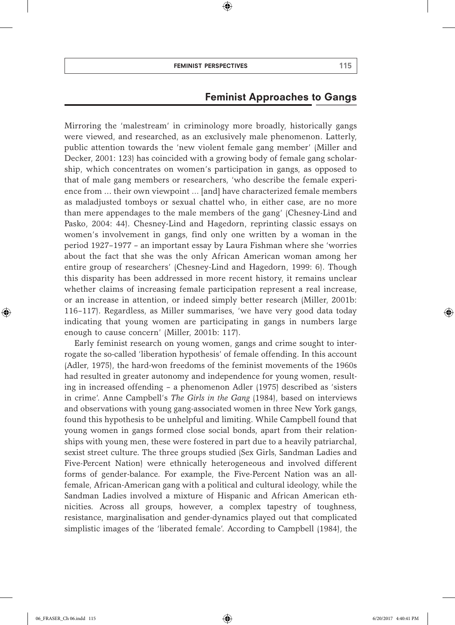$\textcircled{\scriptsize{*}}$ 

# Feminist Approaches to Gangs

Mirroring the 'malestream' in criminology more broadly, historically gangs were viewed, and researched, as an exclusively male phenomenon. Latterly, public attention towards the 'new violent female gang member' (Miller and Decker, 2001: 123) has coincided with a growing body of female gang scholarship, which concentrates on women's participation in gangs, as opposed to that of male gang members or researchers, 'who describe the female experience from ... their own viewpoint … [and] have characterized female members as maladjusted tomboys or sexual chattel who, in either case, are no more than mere appendages to the male members of the gang' (Chesney-Lind and Pasko, 2004: 44). Chesney-Lind and Hagedorn, reprinting classic essays on women's involvement in gangs, find only one written by a woman in the period 1927–1977 – an important essay by Laura Fishman where she 'worries about the fact that she was the only African American woman among her entire group of researchers' (Chesney-Lind and Hagedorn, 1999: 6). Though this disparity has been addressed in more recent history, it remains unclear whether claims of increasing female participation represent a real increase, or an increase in attention, or indeed simply better research (Miller, 2001b: 116–117). Regardless, as Miller summarises, 'we have very good data today indicating that young women are participating in gangs in numbers large enough to cause concern' (Miller, 2001b: 117).

Early feminist research on young women, gangs and crime sought to interrogate the so-called 'liberation hypothesis' of female offending. In this account (Adler, 1975), the hard-won freedoms of the feminist movements of the 1960s had resulted in greater autonomy and independence for young women, resulting in increased offending – a phenomenon Adler (1975) described as 'sisters in crime'. Anne Campbell's *The Girls in the Gang* (1984), based on interviews and observations with young gang-associated women in three New York gangs, found this hypothesis to be unhelpful and limiting. While Campbell found that young women in gangs formed close social bonds, apart from their relationships with young men, these were fostered in part due to a heavily patriarchal, sexist street culture. The three groups studied (Sex Girls, Sandman Ladies and Five-Percent Nation) were ethnically heterogeneous and involved different forms of gender-balance. For example, the Five-Percent Nation was an allfemale, African-American gang with a political and cultural ideology, while the Sandman Ladies involved a mixture of Hispanic and African American ethnicities. Across all groups, however, a complex tapestry of toughness, resistance, marginalisation and gender-dynamics played out that complicated simplistic images of the 'liberated female'. According to Campbell (1984), the

♠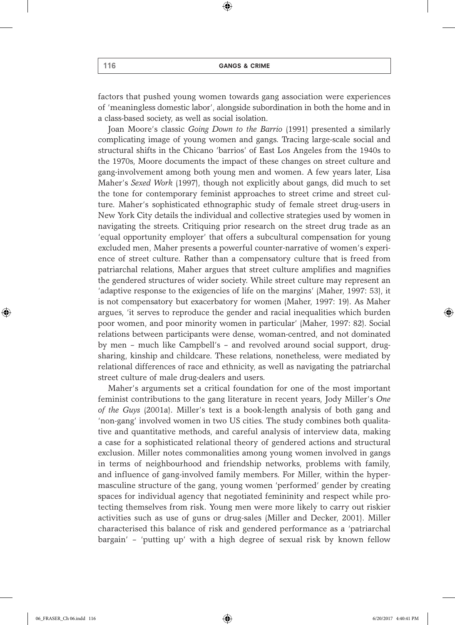$\textcircled{\scriptsize{*}}$ 

factors that pushed young women towards gang association were experiences of 'meaningless domestic labor', alongside subordination in both the home and in a class-based society, as well as social isolation.

Joan Moore's classic *Going Down to the Barrio* (1991) presented a similarly complicating image of young women and gangs. Tracing large-scale social and structural shifts in the Chicano 'barrios' of East Los Angeles from the 1940s to the 1970s, Moore documents the impact of these changes on street culture and gang-involvement among both young men and women. A few years later, Lisa Maher's *Sexed Work* (1997), though not explicitly about gangs, did much to set the tone for contemporary feminist approaches to street crime and street culture. Maher's sophisticated ethnographic study of female street drug-users in New York City details the individual and collective strategies used by women in navigating the streets. Critiquing prior research on the street drug trade as an 'equal opportunity employer' that offers a subcultural compensation for young excluded men, Maher presents a powerful counter-narrative of women's experience of street culture. Rather than a compensatory culture that is freed from patriarchal relations, Maher argues that street culture amplifies and magnifies the gendered structures of wider society. While street culture may represent an 'adaptive response to the exigencies of life on the margins' (Maher, 1997: 53), it is not compensatory but exacerbatory for women (Maher, 1997: 19). As Maher argues, 'it serves to reproduce the gender and racial inequalities which burden poor women, and poor minority women in particular' (Maher, 1997: 82). Social relations between participants were dense, woman-centred, and not dominated by men – much like Campbell's – and revolved around social support, drugsharing, kinship and childcare. These relations, nonetheless, were mediated by relational differences of race and ethnicity, as well as navigating the patriarchal street culture of male drug-dealers and users.

Maher's arguments set a critical foundation for one of the most important feminist contributions to the gang literature in recent years, Jody Miller's *One of the Guys* (2001a). Miller's text is a book-length analysis of both gang and 'non-gang' involved women in two US cities. The study combines both qualitative and quantitative methods, and careful analysis of interview data, making a case for a sophisticated relational theory of gendered actions and structural exclusion. Miller notes commonalities among young women involved in gangs in terms of neighbourhood and friendship networks, problems with family, and influence of gang-involved family members. For Miller, within the hypermasculine structure of the gang, young women 'performed' gender by creating spaces for individual agency that negotiated femininity and respect while protecting themselves from risk. Young men were more likely to carry out riskier activities such as use of guns or drug-sales (Miller and Decker, 2001). Miller characterised this balance of risk and gendered performance as a 'patriarchal bargain' – 'putting up' with a high degree of sexual risk by known fellow

♠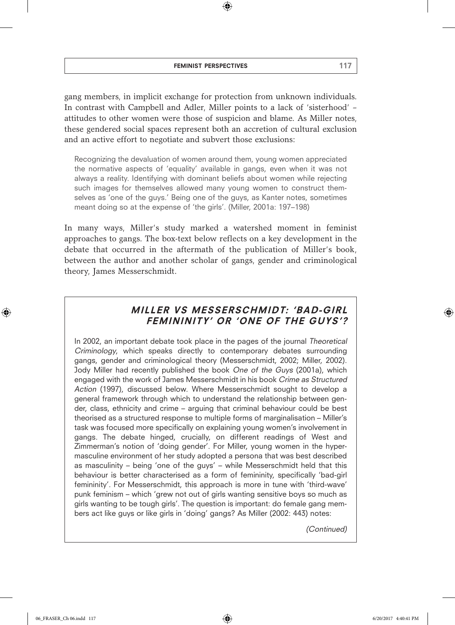#### feminist perspectives 117

 $\textcircled{\scriptsize{*}}$ 

gang members, in implicit exchange for protection from unknown individuals. In contrast with Campbell and Adler, Miller points to a lack of 'sisterhood' – attitudes to other women were those of suspicion and blame. As Miller notes, these gendered social spaces represent both an accretion of cultural exclusion and an active effort to negotiate and subvert those exclusions:

Recognizing the devaluation of women around them, young women appreciated the normative aspects of 'equality' available in gangs, even when it was not always a reality. Identifying with dominant beliefs about women while rejecting such images for themselves allowed many young women to construct themselves as 'one of the guys.' Being one of the guys, as Kanter notes, sometimes meant doing so at the expense of 'the girls'. (Miller, 2001a: 197–198)

In many ways, Miller's study marked a watershed moment in feminist approaches to gangs. The box-text below reflects on a key development in the debate that occurred in the aftermath of the publication of Miller's book, between the author and another scholar of gangs, gender and criminological theory, James Messerschmidt.

# MILLER VS MESSERSCHMIDT: 'BAD-GIRL FEMININITY' OR 'ONE OF THE GUYS'?

In 2002, an important debate took place in the pages of the journal Theoretical Criminology, which speaks directly to contemporary debates surrounding gangs, gender and criminological theory (Messerschmidt, 2002; Miller, 2002). Jody Miller had recently published the book One of the Guys (2001a), which engaged with the work of James Messerschmidt in his book Crime as Structured Action (1997), discussed below. Where Messerschmidt sought to develop a general framework through which to understand the relationship between gender, class, ethnicity and crime – arguing that criminal behaviour could be best theorised as a structured response to multiple forms of marginalisation – Miller's task was focused more specifically on explaining young women's involvement in gangs. The debate hinged, crucially, on different readings of West and Zimmerman's notion of 'doing gender'. For Miller, young women in the hypermasculine environment of her study adopted a persona that was best described as masculinity – being 'one of the guys' – while Messerschmidt held that this behaviour is better characterised as a form of femininity, specifically 'bad-girl femininity'. For Messerschmidt, this approach is more in tune with 'third-wave' punk feminism – which 'grew not out of girls wanting sensitive boys so much as girls wanting to be tough girls'. The question is important: do female gang members act like guys or like girls in 'doing' gangs? As Miller (2002: 443) notes:

(Continued)

⊕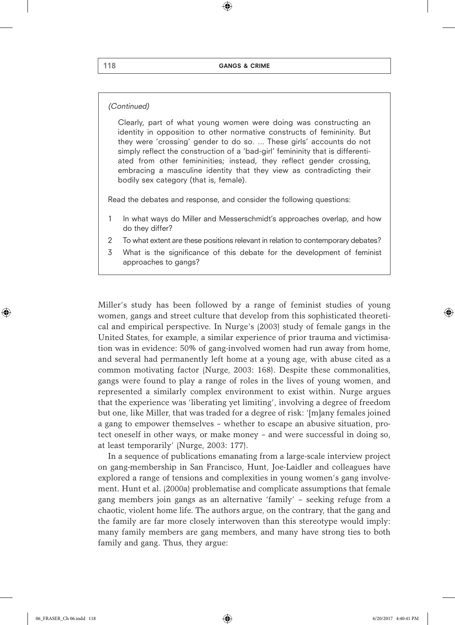$\textcircled{\scriptsize{*}}$ 

#### (Continued)

Clearly, part of what young women were doing was constructing an identity in opposition to other normative constructs of femininity. But they were 'crossing' gender to do so. ... These girls' accounts do not simply reflect the construction of a 'bad-girl' femininity that is differentiated from other femininities; instead, they reflect gender crossing, embracing a masculine identity that they view as contradicting their bodily sex category (that is, female).

Read the debates and response, and consider the following questions:

- 1 In what ways do Miller and Messerschmidt's approaches overlap, and how do they differ?
- 2 To what extent are these positions relevant in relation to contemporary debates?
- 3 What is the significance of this debate for the development of feminist approaches to gangs?

Miller's study has been followed by a range of feminist studies of young women, gangs and street culture that develop from this sophisticated theoretical and empirical perspective. In Nurge's (2003) study of female gangs in the United States, for example, a similar experience of prior trauma and victimisation was in evidence: 50% of gang-involved women had run away from home, and several had permanently left home at a young age, with abuse cited as a common motivating factor (Nurge, 2003: 168). Despite these commonalities, gangs were found to play a range of roles in the lives of young women, and represented a similarly complex environment to exist within. Nurge argues that the experience was 'liberating yet limiting', involving a degree of freedom but one, like Miller, that was traded for a degree of risk: '[m]any females joined a gang to empower themselves – whether to escape an abusive situation, protect oneself in other ways, or make money – and were successful in doing so, at least temporarily' (Nurge, 2003: 177).

In a sequence of publications emanating from a large-scale interview project on gang-membership in San Francisco, Hunt, Joe-Laidler and colleagues have explored a range of tensions and complexities in young women's gang involvement. Hunt et al. (2000a) problematise and complicate assumptions that female gang members join gangs as an alternative 'family' – seeking refuge from a chaotic, violent home life. The authors argue, on the contrary, that the gang and the family are far more closely interwoven than this stereotype would imply: many family members are gang members, and many have strong ties to both family and gang. Thus, they argue:

⊕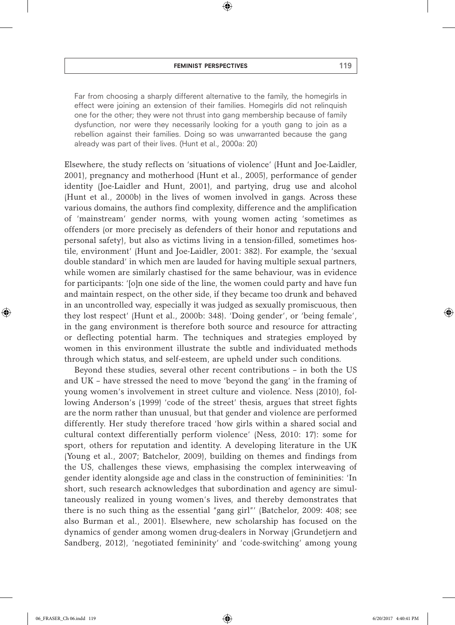⊕

Far from choosing a sharply different alternative to the family, the homegirls in effect were joining an extension of their families. Homegirls did not relinquish one for the other; they were not thrust into gang membership because of family dysfunction, nor were they necessarily looking for a youth gang to join as a rebellion against their families. Doing so was unwarranted because the gang already was part of their lives. (Hunt et al., 2000a: 20)

Elsewhere, the study reflects on 'situations of violence' (Hunt and Joe-Laidler, 2001), pregnancy and motherhood (Hunt et al., 2005), performance of gender identity (Joe-Laidler and Hunt, 2001), and partying, drug use and alcohol (Hunt et al., 2000b) in the lives of women involved in gangs. Across these various domains, the authors find complexity, difference and the amplification of 'mainstream' gender norms, with young women acting 'sometimes as offenders (or more precisely as defenders of their honor and reputations and personal safety), but also as victims living in a tension-filled, sometimes hostile, environment' (Hunt and Joe-Laidler, 2001: 382). For example, the 'sexual double standard' in which men are lauded for having multiple sexual partners, while women are similarly chastised for the same behaviour, was in evidence for participants: '[o]n one side of the line, the women could party and have fun and maintain respect, on the other side, if they became too drunk and behaved in an uncontrolled way, especially it was judged as sexually promiscuous, then they lost respect' (Hunt et al., 2000b: 348). 'Doing gender', or 'being female', in the gang environment is therefore both source and resource for attracting or deflecting potential harm. The techniques and strategies employed by women in this environment illustrate the subtle and individuated methods through which status, and self-esteem, are upheld under such conditions.

Beyond these studies, several other recent contributions – in both the US and UK – have stressed the need to move 'beyond the gang' in the framing of young women's involvement in street culture and violence. Ness (2010), following Anderson's (1999) 'code of the street' thesis, argues that street fights are the norm rather than unusual, but that gender and violence are performed differently. Her study therefore traced 'how girls within a shared social and cultural context differentially perform violence' (Ness, 2010: 17): some for sport, others for reputation and identity. A developing literature in the UK (Young et al., 2007; Batchelor, 2009), building on themes and findings from the US, challenges these views, emphasising the complex interweaving of gender identity alongside age and class in the construction of femininities: 'In short, such research acknowledges that subordination and agency are simultaneously realized in young women's lives, and thereby demonstrates that there is no such thing as the essential "gang girl"' (Batchelor, 2009: 408; see also Burman et al., 2001). Elsewhere, new scholarship has focused on the dynamics of gender among women drug-dealers in Norway (Grundetjern and Sandberg, 2012), 'negotiated femininity' and 'code-switching' among young

♠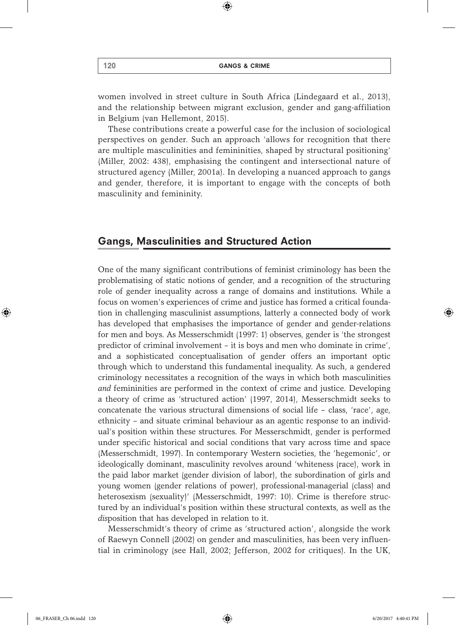$\textcircled{\scriptsize{*}}$ 

women involved in street culture in South Africa (Lindegaard et al., 2013), and the relationship between migrant exclusion, gender and gang-affiliation in Belgium (van Hellemont, 2015).

These contributions create a powerful case for the inclusion of sociological perspectives on gender. Such an approach 'allows for recognition that there are multiple masculinities and femininities, shaped by structural positioning' (Miller, 2002: 438), emphasising the contingent and intersectional nature of structured agency (Miller, 2001a). In developing a nuanced approach to gangs and gender, therefore, it is important to engage with the concepts of both masculinity and femininity.

# Gangs, Masculinities and Structured Action

One of the many significant contributions of feminist criminology has been the problematising of static notions of gender, and a recognition of the structuring role of gender inequality across a range of domains and institutions. While a focus on women's experiences of crime and justice has formed a critical foundation in challenging masculinist assumptions, latterly a connected body of work has developed that emphasises the importance of gender and gender-relations for men and boys. As Messerschmidt (1997: 1) observes, gender is 'the strongest predictor of criminal involvement – it is boys and men who dominate in crime', and a sophisticated conceptualisation of gender offers an important optic through which to understand this fundamental inequality. As such, a gendered criminology necessitates a recognition of the ways in which both masculinities *and* femininities are performed in the context of crime and justice. Developing a theory of crime as 'structured action' (1997, 2014), Messerschmidt seeks to concatenate the various structural dimensions of social life – class, 'race', age, ethnicity – and situate criminal behaviour as an agentic response to an individual's position within these structures. For Messerschmidt, gender is performed under specific historical and social conditions that vary across time and space (Messerschmidt, 1997). In contemporary Western societies, the 'hegemonic', or ideologically dominant, masculinity revolves around 'whiteness (race), work in the paid labor market (gender division of labor), the subordination of girls and young women (gender relations of power), professional-managerial (class) and heterosexism (sexuality)' (Messerschmidt, 1997: 10). Crime is therefore structured by an individual's position within these structural contexts, as well as the *dis*position that has developed in relation to it.

Messerschmidt's theory of crime as 'structured action', alongside the work of Raewyn Connell (2002) on gender and masculinities, has been very influential in criminology (see Hall, 2002; Jefferson, 2002 for critiques). In the UK,

♠

 $\Leftrightarrow$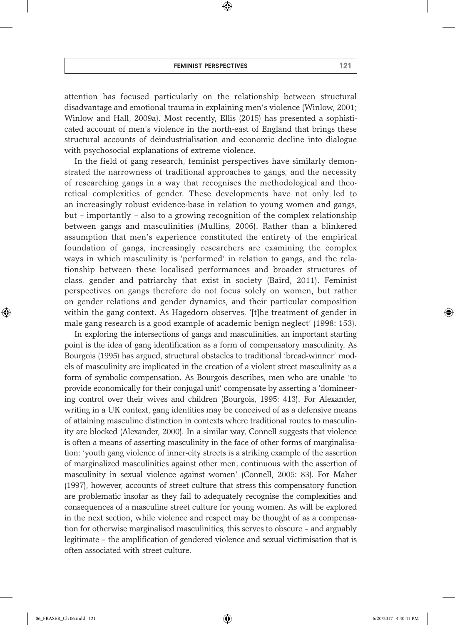⊕

attention has focused particularly on the relationship between structural disadvantage and emotional trauma in explaining men's violence (Winlow, 2001; Winlow and Hall, 2009a). Most recently, Ellis (2015) has presented a sophisticated account of men's violence in the north-east of England that brings these structural accounts of deindustrialisation and economic decline into dialogue with psychosocial explanations of extreme violence.

In the field of gang research, feminist perspectives have similarly demonstrated the narrowness of traditional approaches to gangs, and the necessity of researching gangs in a way that recognises the methodological and theoretical complexities of gender. These developments have not only led to an increasingly robust evidence-base in relation to young women and gangs, but – importantly – also to a growing recognition of the complex relationship between gangs and masculinities (Mullins, 2006). Rather than a blinkered assumption that men's experience constituted the entirety of the empirical foundation of gangs, increasingly researchers are examining the complex ways in which masculinity is 'performed' in relation to gangs, and the relationship between these localised performances and broader structures of class, gender and patriarchy that exist in society (Baird, 2011). Feminist perspectives on gangs therefore do not focus solely on women, but rather on gender relations and gender dynamics, and their particular composition within the gang context. As Hagedorn observes, '[t]he treatment of gender in male gang research is a good example of academic benign neglect' (1998: 153).

In exploring the intersections of gangs and masculinities, an important starting point is the idea of gang identification as a form of compensatory masculinity. As Bourgois (1995) has argued, structural obstacles to traditional 'bread-winner' models of masculinity are implicated in the creation of a violent street masculinity as a form of symbolic compensation. As Bourgois describes, men who are unable 'to provide economically for their conjugal unit' compensate by asserting a 'domineering control over their wives and children (Bourgois, 1995: 413). For Alexander, writing in a UK context, gang identities may be conceived of as a defensive means of attaining masculine distinction in contexts where traditional routes to masculinity are blocked (Alexander, 2000). In a similar way, Connell suggests that violence is often a means of asserting masculinity in the face of other forms of marginalisation: 'youth gang violence of inner-city streets is a striking example of the assertion of marginalized masculinities against other men, continuous with the assertion of masculinity in sexual violence against women' (Connell, 2005: 83). For Maher (1997), however, accounts of street culture that stress this compensatory function are problematic insofar as they fail to adequately recognise the complexities and consequences of a masculine street culture for young women. As will be explored in the next section, while violence and respect may be thought of as a compensation for otherwise marginalised masculinities, this serves to obscure – and arguably legitimate – the amplification of gendered violence and sexual victimisation that is often associated with street culture.

♠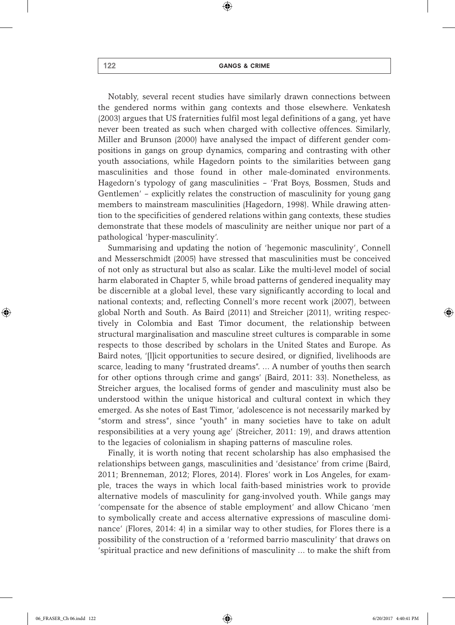⊕

Notably, several recent studies have similarly drawn connections between the gendered norms within gang contexts and those elsewhere. Venkatesh (2003) argues that US fraternities fulfil most legal definitions of a gang, yet have never been treated as such when charged with collective offences. Similarly, Miller and Brunson (2000) have analysed the impact of different gender compositions in gangs on group dynamics, comparing and contrasting with other youth associations, while Hagedorn points to the similarities between gang masculinities and those found in other male-dominated environments. Hagedorn's typology of gang masculinities – 'Frat Boys, Bossmen, Studs and Gentlemen' – explicitly relates the construction of masculinity for young gang members to mainstream masculinities (Hagedorn, 1998). While drawing attention to the specificities of gendered relations within gang contexts, these studies demonstrate that these models of masculinity are neither unique nor part of a pathological 'hyper-masculinity'.

Summarising and updating the notion of 'hegemonic masculinity', Connell and Messerschmidt (2005) have stressed that masculinities must be conceived of not only as structural but also as scalar. Like the multi-level model of social harm elaborated in Chapter 5, while broad patterns of gendered inequality may be discernible at a global level, these vary significantly according to local and national contexts; and, reflecting Connell's more recent work (2007), between global North and South. As Baird (2011) and Streicher (2011), writing respectively in Colombia and East Timor document, the relationship between structural marginalisation and masculine street cultures is comparable in some respects to those described by scholars in the United States and Europe. As Baird notes, '[l]icit opportunities to secure desired, or dignified, livelihoods are scarce, leading to many "frustrated dreams". … A number of youths then search for other options through crime and gangs' (Baird, 2011: 33). Nonetheless, as Streicher argues, the localised forms of gender and masculinity must also be understood within the unique historical and cultural context in which they emerged. As she notes of East Timor, 'adolescence is not necessarily marked by "storm and stress", since "youth" in many societies have to take on adult responsibilities at a very young age' (Streicher, 2011: 19), and draws attention to the legacies of colonialism in shaping patterns of masculine roles.

Finally, it is worth noting that recent scholarship has also emphasised the relationships between gangs, masculinities and 'desistance' from crime (Baird, 2011; Brenneman, 2012; Flores, 2014). Flores' work in Los Angeles, for example, traces the ways in which local faith-based ministries work to provide alternative models of masculinity for gang-involved youth. While gangs may 'compensate for the absence of stable employment' and allow Chicano 'men to symbolically create and access alternative expressions of masculine dominance' (Flores, 2014: 4) in a similar way to other studies, for Flores there is a possibility of the construction of a 'reformed barrio masculinity' that draws on 'spiritual practice and new definitions of masculinity … to make the shift from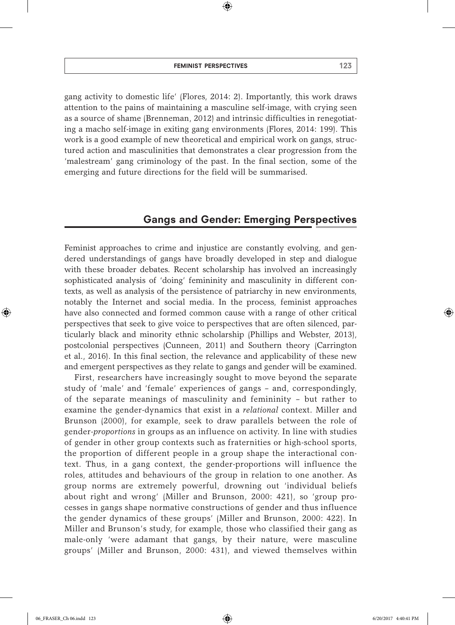gang activity to domestic life' (Flores, 2014: 2). Importantly, this work draws attention to the pains of maintaining a masculine self-image, with crying seen as a source of shame (Brenneman, 2012) and intrinsic difficulties in renegotiating a macho self-image in exiting gang environments (Flores, 2014: 199). This work is a good example of new theoretical and empirical work on gangs, struc-

 $\bigoplus$ 

tured action and masculinities that demonstrates a clear progression from the 'malestream' gang criminology of the past. In the final section, some of the emerging and future directions for the field will be summarised.

# Gangs and Gender: Emerging Perspectives

Feminist approaches to crime and injustice are constantly evolving, and gendered understandings of gangs have broadly developed in step and dialogue with these broader debates. Recent scholarship has involved an increasingly sophisticated analysis of 'doing' femininity and masculinity in different contexts, as well as analysis of the persistence of patriarchy in new environments, notably the Internet and social media. In the process, feminist approaches have also connected and formed common cause with a range of other critical perspectives that seek to give voice to perspectives that are often silenced, particularly black and minority ethnic scholarship (Phillips and Webster, 2013), postcolonial perspectives (Cunneen, 2011) and Southern theory (Carrington et al., 2016). In this final section, the relevance and applicability of these new and emergent perspectives as they relate to gangs and gender will be examined.

First, researchers have increasingly sought to move beyond the separate study of 'male' and 'female' experiences of gangs – and, correspondingly, of the separate meanings of masculinity and femininity – but rather to examine the gender-dynamics that exist in a *relational* context. Miller and Brunson (2000), for example, seek to draw parallels between the role of gender-*proportions* in groups as an influence on activity. In line with studies of gender in other group contexts such as fraternities or high-school sports, the proportion of different people in a group shape the interactional context. Thus, in a gang context, the gender-proportions will influence the roles, attitudes and behaviours of the group in relation to one another. As group norms are extremely powerful, drowning out 'individual beliefs about right and wrong' (Miller and Brunson, 2000: 421), so 'group processes in gangs shape normative constructions of gender and thus influence the gender dynamics of these groups' (Miller and Brunson, 2000: 422). In Miller and Brunson's study, for example, those who classified their gang as male-only 'were adamant that gangs, by their nature, were masculine groups' (Miller and Brunson, 2000: 431), and viewed themselves within

♠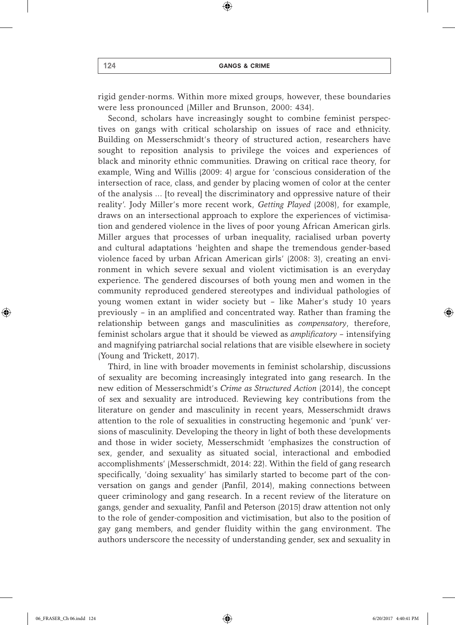$\textcircled{\scriptsize{*}}$ 

rigid gender-norms. Within more mixed groups, however, these boundaries were less pronounced (Miller and Brunson, 2000: 434).

Second, scholars have increasingly sought to combine feminist perspectives on gangs with critical scholarship on issues of race and ethnicity. Building on Messerschmidt's theory of structured action, researchers have sought to reposition analysis to privilege the voices and experiences of black and minority ethnic communities. Drawing on critical race theory, for example, Wing and Willis (2009: 4) argue for 'conscious consideration of the intersection of race, class, and gender by placing women of color at the center of the analysis … [to reveal] the discriminatory and oppressive nature of their reality'. Jody Miller's more recent work, *Getting Played* (2008), for example, draws on an intersectional approach to explore the experiences of victimisation and gendered violence in the lives of poor young African American girls. Miller argues that processes of urban inequality, racialised urban poverty and cultural adaptations 'heighten and shape the tremendous gender-based violence faced by urban African American girls' (2008: 3), creating an environment in which severe sexual and violent victimisation is an everyday experience. The gendered discourses of both young men and women in the community reproduced gendered stereotypes and individual pathologies of young women extant in wider society but – like Maher's study 10 years previously – in an amplified and concentrated way. Rather than framing the relationship between gangs and masculinities as *compensatory*, therefore, feminist scholars argue that it should be viewed as *amplificatory* – intensifying and magnifying patriarchal social relations that are visible elsewhere in society (Young and Trickett, 2017).

Third, in line with broader movements in feminist scholarship, discussions of sexuality are becoming increasingly integrated into gang research. In the new edition of Messerschmidt's *Crime as Structured Action* (2014), the concept of sex and sexuality are introduced. Reviewing key contributions from the literature on gender and masculinity in recent years, Messerschmidt draws attention to the role of sexualities in constructing hegemonic and 'punk' versions of masculinity. Developing the theory in light of both these developments and those in wider society, Messerschmidt 'emphasizes the construction of sex, gender, and sexuality as situated social, interactional and embodied accomplishments' (Messerschmidt, 2014: 22). Within the field of gang research specifically, 'doing sexuality' has similarly started to become part of the conversation on gangs and gender (Panfil, 2014), making connections between queer criminology and gang research. In a recent review of the literature on gangs, gender and sexuality, Panfil and Peterson (2015) draw attention not only to the role of gender-composition and victimisation, but also to the position of gay gang members, and gender fluidity within the gang environment. The authors underscore the necessity of understanding gender, sex and sexuality in

♠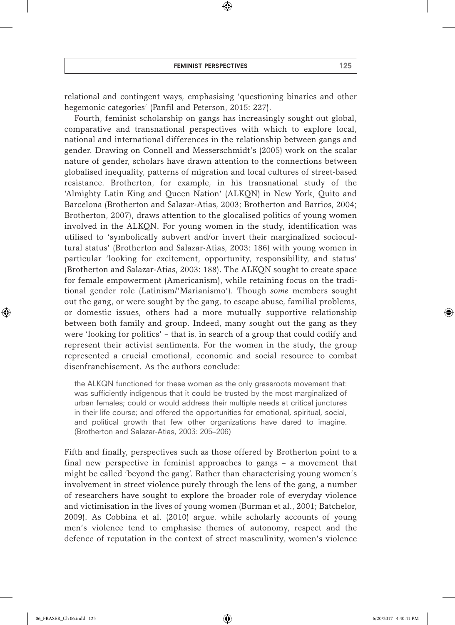#### feminist perspectives 125

 $\textcircled{\scriptsize{*}}$ 

relational and contingent ways, emphasising 'questioning binaries and other hegemonic categories' (Panfil and Peterson, 2015: 227).

Fourth, feminist scholarship on gangs has increasingly sought out global, comparative and transnational perspectives with which to explore local, national and international differences in the relationship between gangs and gender. Drawing on Connell and Messerschmidt's (2005) work on the scalar nature of gender, scholars have drawn attention to the connections between globalised inequality, patterns of migration and local cultures of street-based resistance. Brotherton, for example, in his transnational study of the 'Almighty Latin King and Queen Nation' (ALKQN) in New York, Quito and Barcelona (Brotherton and Salazar-Atias, 2003; Brotherton and Barrios, 2004; Brotherton, 2007), draws attention to the glocalised politics of young women involved in the ALKQN. For young women in the study, identification was utilised to 'symbolically subvert and/or invert their marginalized sociocultural status' (Brotherton and Salazar-Atias, 2003: 186) with young women in particular 'looking for excitement, opportunity, responsibility, and status' (Brotherton and Salazar-Atias, 2003: 188). The ALKQN sought to create space for female empowerment (Americanism), while retaining focus on the traditional gender role (Latinism/'Marianismo'). Though *some* members sought out the gang, or were sought by the gang, to escape abuse, familial problems, or domestic issues, others had a more mutually supportive relationship between both family and group. Indeed, many sought out the gang as they were 'looking for politics' – that is, in search of a group that could codify and represent their activist sentiments. For the women in the study, the group represented a crucial emotional, economic and social resource to combat disenfranchisement. As the authors conclude:

the ALKQN functioned for these women as the only grassroots movement that: was sufficiently indigenous that it could be trusted by the most marginalized of urban females; could or would address their multiple needs at critical junctures in their life course; and offered the opportunities for emotional, spiritual, social, and political growth that few other organizations have dared to imagine. (Brotherton and Salazar-Atias, 2003: 205–206)

Fifth and finally, perspectives such as those offered by Brotherton point to a final new perspective in feminist approaches to gangs – a movement that might be called 'beyond the gang'. Rather than characterising young women's involvement in street violence purely through the lens of the gang, a number of researchers have sought to explore the broader role of everyday violence and victimisation in the lives of young women (Burman et al., 2001; Batchelor, 2009). As Cobbina et al. (2010) argue, while scholarly accounts of young men's violence tend to emphasise themes of autonomy, respect and the defence of reputation in the context of street masculinity, women's violence

♠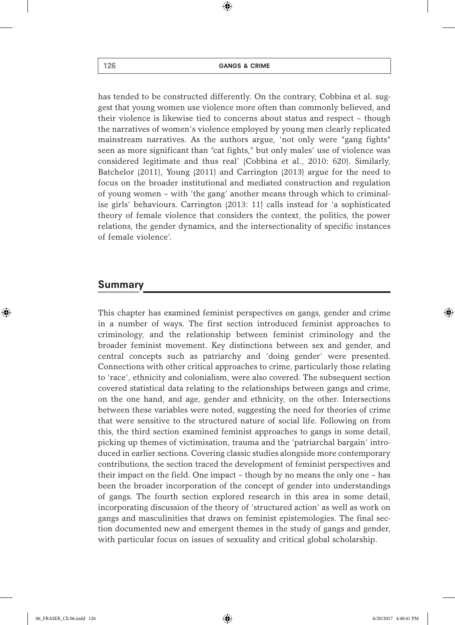⊕

has tended to be constructed differently. On the contrary, Cobbina et al. suggest that young women use violence more often than commonly believed, and their violence is likewise tied to concerns about status and respect – though the narratives of women's violence employed by young men clearly replicated mainstream narratives. As the authors argue, 'not only were "gang fights" seen as more significant than "cat fights," but only males' use of violence was considered legitimate and thus real' (Cobbina et al., 2010: 620). Similarly, Batchelor (2011), Young (2011) and Carrington (2013) argue for the need to focus on the broader institutional and mediated construction and regulation of young women – with 'the gang' another means through which to criminalise girls' behaviours. Carrington (2013: 11) calls instead for 'a sophisticated theory of female violence that considers the context, the politics, the power relations, the gender dynamics, and the intersectionality of specific instances of female violence'.

### Summary

This chapter has examined feminist perspectives on gangs, gender and crime in a number of ways. The first section introduced feminist approaches to criminology, and the relationship between feminist criminology and the broader feminist movement. Key distinctions between sex and gender, and central concepts such as patriarchy and 'doing gender' were presented. Connections with other critical approaches to crime, particularly those relating to 'race', ethnicity and colonialism, were also covered. The subsequent section covered statistical data relating to the relationships between gangs and crime, on the one hand, and age, gender and ethnicity, on the other. Intersections between these variables were noted, suggesting the need for theories of crime that were sensitive to the structured nature of social life. Following on from this, the third section examined feminist approaches to gangs in some detail, picking up themes of victimisation, trauma and the 'patriarchal bargain' introduced in earlier sections. Covering classic studies alongside more contemporary contributions, the section traced the development of feminist perspectives and their impact on the field. One impact – though by no means the only one – has been the broader incorporation of the concept of gender into understandings of gangs. The fourth section explored research in this area in some detail, incorporating discussion of the theory of 'structured action' as well as work on gangs and masculinities that draws on feminist epistemologies. The final section documented new and emergent themes in the study of gangs and gender, with particular focus on issues of sexuality and critical global scholarship.

♠

 $\Leftrightarrow$